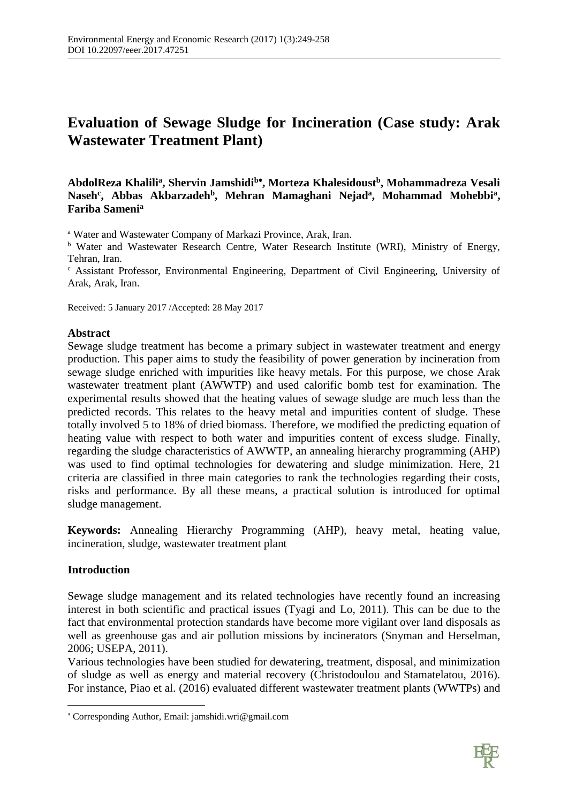# **Evaluation of Sewage Sludge for Incineration (Case study: Arak Wastewater Treatment Plant)**

# **AbdolReza Khalili<sup>a</sup> , Shervin Jamshidi<sup>b</sup> , Morteza Khalesidoust<sup>b</sup> , Mohammadreza Vesali** Naseh<sup>c</sup>, Abbas Akbarzadeh<sup>b</sup>, Mehran Mamaghani Nejad<sup>a</sup>, Mohammad Mohebbi<sup>a</sup>, **Fariba Sameni<sup>a</sup>**

<sup>a</sup> Water and Wastewater Company of Markazi Province, Arak, Iran.

<sup>b</sup> Water and Wastewater Research Centre, Water Research Institute (WRI), Ministry of Energy, Tehran, Iran.

<sup>c</sup> Assistant Professor, Environmental Engineering, Department of Civil Engineering, University of Arak, Arak, Iran.

Received: 5 January 2017 /Accepted: 28 May 2017

### **Abstract**

Sewage sludge treatment has become a primary subject in wastewater treatment and energy production. This paper aims to study the feasibility of power generation by incineration from sewage sludge enriched with impurities like heavy metals. For this purpose, we chose Arak wastewater treatment plant (AWWTP) and used calorific bomb test for examination. The experimental results showed that the heating values of sewage sludge are much less than the predicted records. This relates to the heavy metal and impurities content of sludge. These totally involved 5 to 18% of dried biomass. Therefore, we modified the predicting equation of heating value with respect to both water and impurities content of excess sludge. Finally, regarding the sludge characteristics of AWWTP, an annealing hierarchy programming (AHP) was used to find optimal technologies for dewatering and sludge minimization. Here, 21 criteria are classified in three main categories to rank the technologies regarding their costs, risks and performance. By all these means, a practical solution is introduced for optimal sludge management.

**Keywords:** Annealing Hierarchy Programming (AHP), heavy metal, heating value, incineration, sludge, wastewater treatment plant

# **Introduction**

 $\overline{a}$ 

Sewage sludge management and its related technologies have recently found an increasing interest in both scientific and practical issues (Tyagi and Lo, 2011). This can be due to the fact that environmental protection standards have become more vigilant over land disposals as well as greenhouse gas and air pollution missions by incinerators (Snyman and Herselman, 2006; USEPA, 2011).

Various technologies have been studied for dewatering, treatment, disposal, and minimization of sludge as well as energy and material recovery (Christodoulou and Stamatelatou, 2016). For instance, Piao et al. (2016) evaluated different wastewater treatment plants (WWTPs) and



Corresponding Author, Email: [jamshidi.wri@gmail.com](mailto:jamshidi.wri@gmail.com)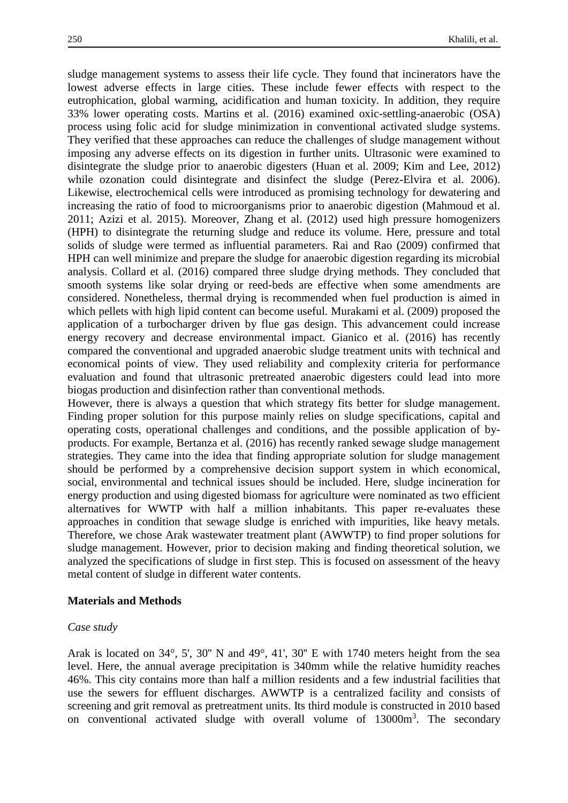sludge management systems to assess their life cycle. They found that incinerators have the lowest adverse effects in large cities. These include fewer effects with respect to the eutrophication, global warming, acidification and human toxicity. In addition, they require 33% lower operating costs. Martins et al. (2016) examined oxic-settling-anaerobic (OSA) process using folic acid for sludge minimization in conventional activated sludge systems. They verified that these approaches can reduce the challenges of sludge management without imposing any adverse effects on its digestion in further units. Ultrasonic were examined to disintegrate the sludge prior to anaerobic digesters (Huan et al. 2009; Kim and Lee, 2012) while ozonation could disintegrate and disinfect the sludge (Perez-Elvira et al. 2006). Likewise, electrochemical cells were introduced as promising technology for dewatering and increasing the ratio of food to microorganisms prior to anaerobic digestion (Mahmoud et al. 2011; Azizi et al. 2015). Moreover, Zhang et al. (2012) used high pressure homogenizers (HPH) to disintegrate the returning sludge and reduce its volume. Here, pressure and total solids of sludge were termed as influential parameters. Rai and Rao (2009) confirmed that HPH can well minimize and prepare the sludge for anaerobic digestion regarding its microbial analysis. Collard et al. (2016) compared three sludge drying methods. They concluded that smooth systems like solar drying or reed-beds are effective when some amendments are considered. Nonetheless, thermal drying is recommended when fuel production is aimed in which pellets with high lipid content can become useful. Murakami et al. (2009) proposed the application of a turbocharger driven by flue gas design. This advancement could increase energy recovery and decrease environmental impact. Gianico et al. (2016) has recently compared the conventional and upgraded anaerobic sludge treatment units with technical and economical points of view. They used reliability and complexity criteria for performance evaluation and found that ultrasonic pretreated anaerobic digesters could lead into more biogas production and disinfection rather than conventional methods.

However, there is always a question that which strategy fits better for sludge management. Finding proper solution for this purpose mainly relies on sludge specifications, capital and operating costs, operational challenges and conditions, and the possible application of byproducts. For example, Bertanza et al. (2016) has recently ranked sewage sludge management strategies. They came into the idea that finding appropriate solution for sludge management should be performed by a comprehensive decision support system in which economical, social, environmental and technical issues should be included. Here, sludge incineration for energy production and using digested biomass for agriculture were nominated as two efficient alternatives for WWTP with half a million inhabitants. This paper re-evaluates these approaches in condition that sewage sludge is enriched with impurities, like heavy metals. Therefore, we chose Arak wastewater treatment plant (AWWTP) to find proper solutions for sludge management. However, prior to decision making and finding theoretical solution, we analyzed the specifications of sludge in first step. This is focused on assessment of the heavy metal content of sludge in different water contents.

#### **Materials and Methods**

#### *Case study*

Arak is located on 34°, 5', 30'' N and 49°, 41', 30'' E with 1740 meters height from the sea level. Here, the annual average precipitation is 340mm while the relative humidity reaches 46%. This city contains more than half a million residents and a few industrial facilities that use the sewers for effluent discharges. AWWTP is a centralized facility and consists of screening and grit removal as pretreatment units. Its third module is constructed in 2010 based on conventional activated sludge with overall volume of 13000m<sup>3</sup>. The secondary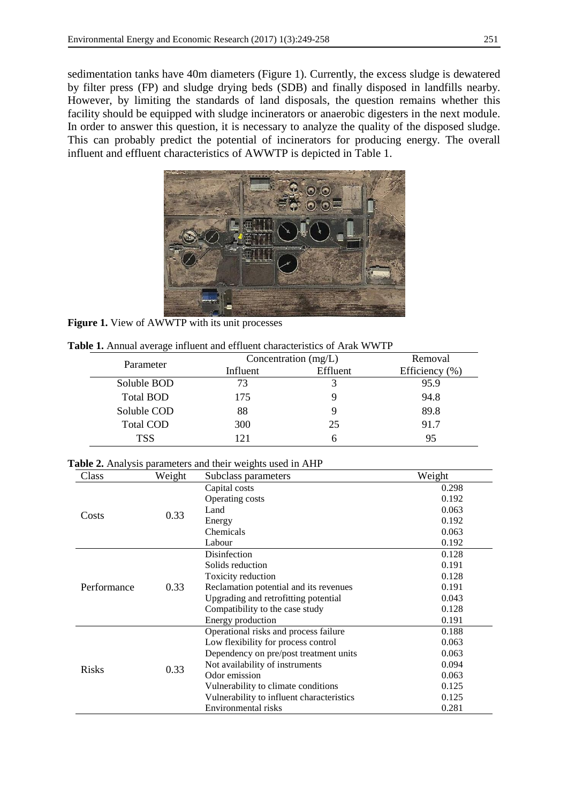sedimentation tanks have 40m diameters (Figure 1). Currently, the excess sludge is dewatered by filter press (FP) and sludge drying beds (SDB) and finally disposed in landfills nearby. However, by limiting the standards of land disposals, the question remains whether this facility should be equipped with sludge incinerators or anaerobic digesters in the next module. In order to answer this question, it is necessary to analyze the quality of the disposed sludge. This can probably predict the potential of incinerators for producing energy. The overall influent and effluent characteristics of AWWTP is depicted in Table 1.



Figure 1. View of AWWTP with its unit processes

| ັ                | Concentration $(mg/L)$ | Removal  |                    |
|------------------|------------------------|----------|--------------------|
| Parameter        | Influent               | Effluent | Efficiency $(\% )$ |
| Soluble BOD      | 73                     |          | 95.9               |
| Total BOD        | 175                    |          | 94.8               |
| Soluble COD      | 88                     |          | 89.8               |
| <b>Total COD</b> | 300                    | 25       | 91.7               |
| TSS              | 121                    | h        | 95                 |

**Table 1.** Annual average influent and effluent characteristics of Arak WWTP

|  |  |  |  |  |  |  |  |  | Table 2. Analysis parameters and their weights used in AHP |  |
|--|--|--|--|--|--|--|--|--|------------------------------------------------------------|--|
|--|--|--|--|--|--|--|--|--|------------------------------------------------------------|--|

| Class        | Weight | Subclass parameters                       | Weight |
|--------------|--------|-------------------------------------------|--------|
|              |        | Capital costs                             | 0.298  |
|              |        | Operating costs                           | 0.192  |
|              | 0.33   | Land                                      | 0.063  |
| Costs        |        | Energy                                    | 0.192  |
|              |        | Chemicals                                 | 0.063  |
|              |        | Labour                                    | 0.192  |
|              |        | Disinfection                              | 0.128  |
|              |        | Solids reduction                          | 0.191  |
|              |        | Toxicity reduction                        | 0.128  |
| Performance  | 0.33   | Reclamation potential and its revenues    | 0.191  |
|              |        | Upgrading and retrofitting potential      | 0.043  |
|              |        | Compatibility to the case study           | 0.128  |
|              |        | Energy production                         | 0.191  |
|              |        | Operational risks and process failure     | 0.188  |
|              |        | Low flexibility for process control       | 0.063  |
|              |        | Dependency on pre/post treatment units    | 0.063  |
|              |        | Not availability of instruments           | 0.094  |
| <b>Risks</b> | 0.33   | Odor emission                             | 0.063  |
|              |        | Vulnerability to climate conditions       | 0.125  |
|              |        | Vulnerability to influent characteristics | 0.125  |
|              |        | Environmental risks                       | 0.281  |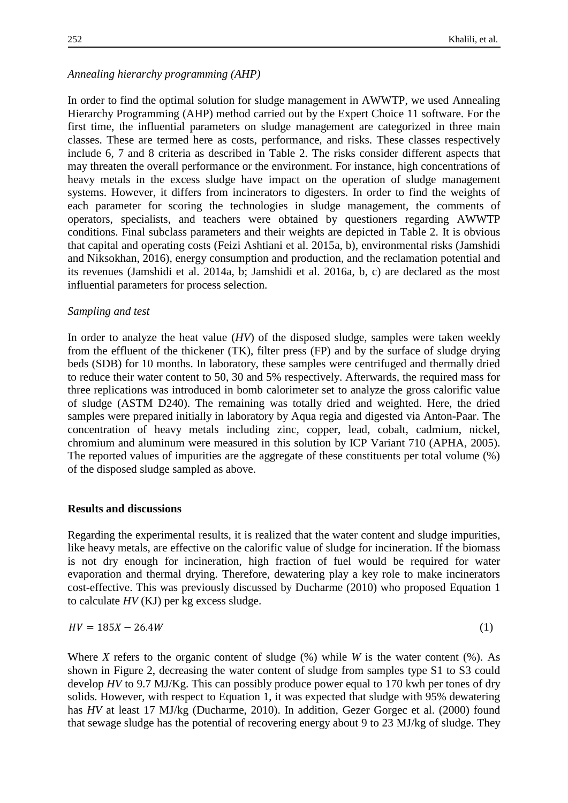# *Annealing hierarchy programming (AHP)*

In order to find the optimal solution for sludge management in AWWTP, we used Annealing Hierarchy Programming (AHP) method carried out by the Expert Choice 11 software. For the first time, the influential parameters on sludge management are categorized in three main classes. These are termed here as costs, performance, and risks. These classes respectively include 6, 7 and 8 criteria as described in Table 2. The risks consider different aspects that may threaten the overall performance or the environment. For instance, high concentrations of heavy metals in the excess sludge have impact on the operation of sludge management systems. However, it differs from incinerators to digesters. In order to find the weights of each parameter for scoring the technologies in sludge management, the comments of operators, specialists, and teachers were obtained by questioners regarding AWWTP conditions. Final subclass parameters and their weights are depicted in Table 2. It is obvious that capital and operating costs (Feizi Ashtiani et al. 2015a, b), environmental risks (Jamshidi and Niksokhan, 2016), energy consumption and production, and the reclamation potential and its revenues (Jamshidi et al. 2014a, b; Jamshidi et al. 2016a, b, c) are declared as the most influential parameters for process selection.

### *Sampling and test*

In order to analyze the heat value (*HV*) of the disposed sludge, samples were taken weekly from the effluent of the thickener (TK), filter press (FP) and by the surface of sludge drying beds (SDB) for 10 months. In laboratory, these samples were centrifuged and thermally dried to reduce their water content to 50, 30 and 5% respectively. Afterwards, the required mass for three replications was introduced in bomb calorimeter set to analyze the gross calorific value of sludge (ASTM D240). The remaining was totally dried and weighted. Here, the dried samples were prepared initially in laboratory by Aqua regia and digested via Anton-Paar. The concentration of heavy metals including zinc, copper, lead, cobalt, cadmium, nickel, chromium and aluminum were measured in this solution by ICP Variant 710 (APHA, 2005). The reported values of impurities are the aggregate of these constituents per total volume (%) of the disposed sludge sampled as above.

### **Results and discussions**

Regarding the experimental results, it is realized that the water content and sludge impurities, like heavy metals, are effective on the calorific value of sludge for incineration. If the biomass is not dry enough for incineration, high fraction of fuel would be required for water evaporation and thermal drying. Therefore, dewatering play a key role to make incinerators cost-effective. This was previously discussed by Ducharme (2010) who proposed Equation 1 to calculate *HV* (KJ) per kg excess sludge.

$$
HV = 185X - 26.4W \tag{1}
$$

Where *X* refers to the organic content of sludge (%) while *W* is the water content (%). As shown in Figure 2, decreasing the water content of sludge from samples type S1 to S3 could develop *HV* to 9.7 MJ/Kg. This can possibly produce power equal to 170 kwh per tones of dry solids. However, with respect to Equation 1, it was expected that sludge with 95% dewatering has *HV* at least 17 MJ/kg (Ducharme, 2010). In addition, Gezer Gorgec et al. (2000) found that sewage sludge has the potential of recovering energy about 9 to 23 MJ/kg of sludge. They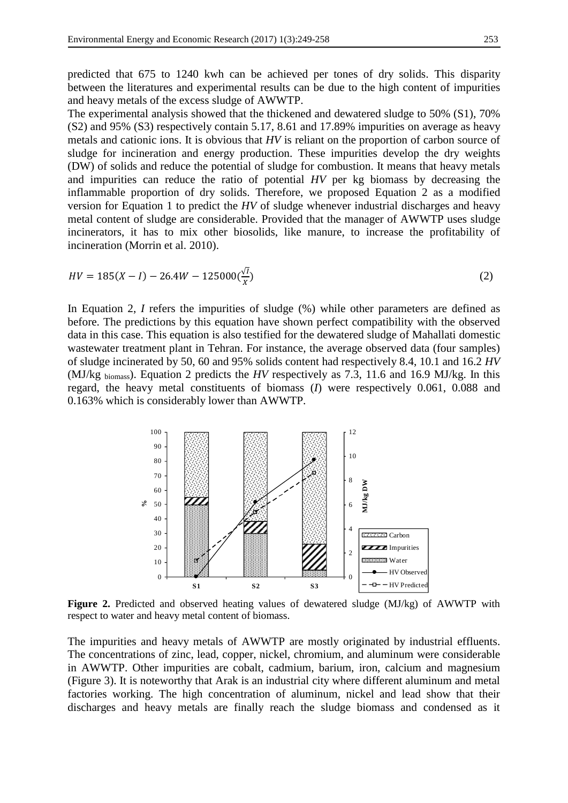predicted that 675 to 1240 kwh can be achieved per tones of dry solids. This disparity between the literatures and experimental results can be due to the high content of impurities and heavy metals of the excess sludge of AWWTP.

The experimental analysis showed that the thickened and dewatered sludge to 50% (S1), 70% (S2) and 95% (S3) respectively contain 5.17, 8.61 and 17.89% impurities on average as heavy metals and cationic ions. It is obvious that *HV* is reliant on the proportion of carbon source of sludge for incineration and energy production. These impurities develop the dry weights (DW) of solids and reduce the potential of sludge for combustion. It means that heavy metals and impurities can reduce the ratio of potential *HV* per kg biomass by decreasing the inflammable proportion of dry solids. Therefore, we proposed Equation 2 as a modified version for Equation 1 to predict the *HV* of sludge whenever industrial discharges and heavy metal content of sludge are considerable. Provided that the manager of AWWTP uses sludge incinerators, it has to mix other biosolids, like manure, to increase the profitability of incineration (Morrin et al. 2010).

$$
HV = 185(X - I) - 26.4W - 125000\left(\frac{\sqrt{I}}{X}\right)
$$
\n(2)

In Equation 2, *I* refers the impurities of sludge (%) while other parameters are defined as before. The predictions by this equation have shown perfect compatibility with the observed data in this case. This equation is also testified for the dewatered sludge of Mahallati domestic wastewater treatment plant in Tehran. For instance, the average observed data (four samples) of sludge incinerated by 50, 60 and 95% solids content had respectively 8.4, 10.1 and 16.2 *HV* (MJ/kg biomass). Equation 2 predicts the *HV* respectively as 7.3, 11.6 and 16.9 MJ/kg. In this regard, the heavy metal constituents of biomass (*I*) were respectively 0.061, 0.088 and 0.163% which is considerably lower than AWWTP.



**Figure 2.** Predicted and observed heating values of dewatered sludge (MJ/kg) of AWWTP with respect to water and heavy metal content of biomass.

The impurities and heavy metals of AWWTP are mostly originated by industrial effluents. The concentrations of zinc, lead, copper, nickel, chromium, and aluminum were considerable in AWWTP. Other impurities are cobalt, cadmium, barium, iron, calcium and magnesium (Figure 3). It is noteworthy that Arak is an industrial city where different aluminum and metal factories working. The high concentration of aluminum, nickel and lead show that their discharges and heavy metals are finally reach the sludge biomass and condensed as it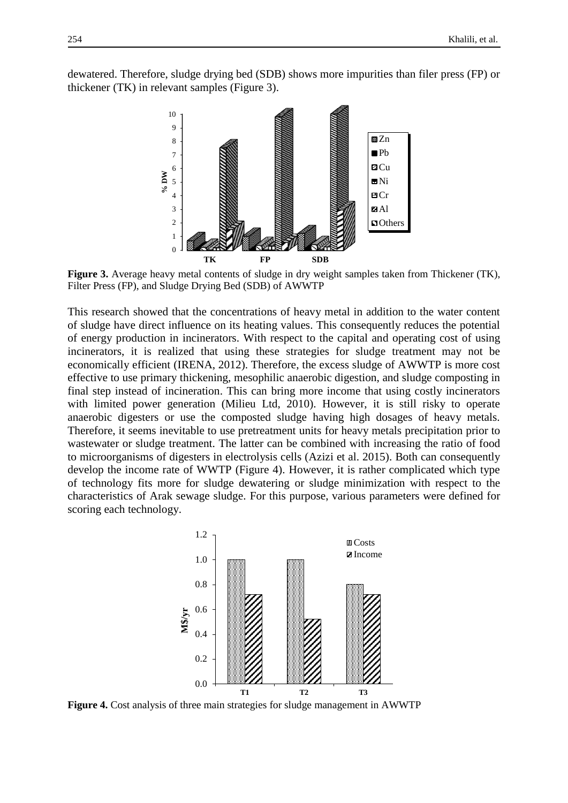dewatered. Therefore, sludge drying bed (SDB) shows more impurities than filer press (FP) or thickener (TK) in relevant samples (Figure 3).



**Figure 3.** Average heavy metal contents of sludge in dry weight samples taken from Thickener (TK), Filter Press (FP), and Sludge Drying Bed (SDB) of AWWTP

This research showed that the concentrations of heavy metal in addition to the water content of sludge have direct influence on its heating values. This consequently reduces the potential of energy production in incinerators. With respect to the capital and operating cost of using incinerators, it is realized that using these strategies for sludge treatment may not be economically efficient (IRENA, 2012). Therefore, the excess sludge of AWWTP is more cost effective to use primary thickening, mesophilic anaerobic digestion, and sludge composting in final step instead of incineration. This can bring more income that using costly incinerators with limited power generation (Milieu Ltd, 2010). However, it is still risky to operate anaerobic digesters or use the composted sludge having high dosages of heavy metals. Therefore, it seems inevitable to use pretreatment units for heavy metals precipitation prior to wastewater or sludge treatment. The latter can be combined with increasing the ratio of food to microorganisms of digesters in electrolysis cells (Azizi et al. 2015). Both can consequently develop the income rate of WWTP (Figure 4). However, it is rather complicated which type of technology fits more for sludge dewatering or sludge minimization with respect to the characteristics of Arak sewage sludge. For this purpose, various parameters were defined for scoring each technology.



**Figure 4.** Cost analysis of three main strategies for sludge management in AWWTP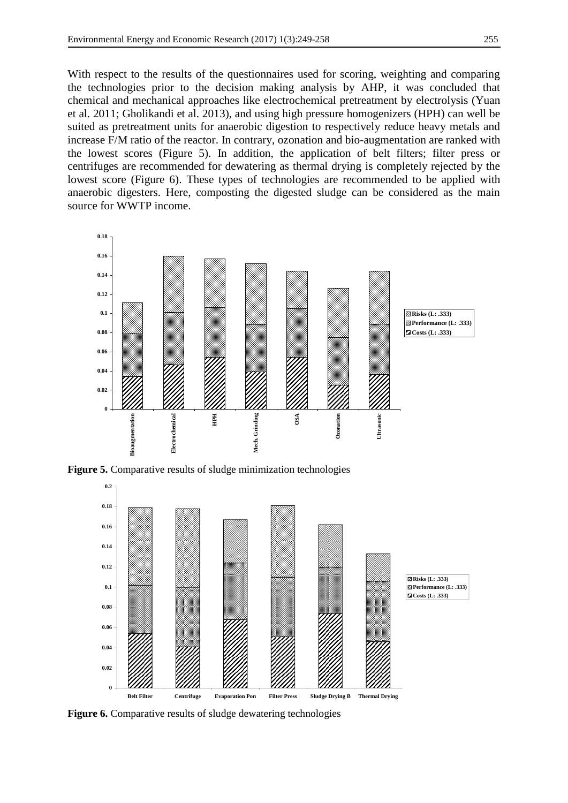With respect to the results of the questionnaires used for scoring, weighting and comparing the technologies prior to the decision making analysis by AHP, it was concluded that chemical and mechanical approaches like electrochemical pretreatment by electrolysis (Yuan et al. 2011; Gholikandi et al. 2013), and using high pressure homogenizers (HPH) can well be suited as pretreatment units for anaerobic digestion to respectively reduce heavy metals and increase F/M ratio of the reactor. In contrary, ozonation and bio-augmentation are ranked with the lowest scores (Figure 5). In addition, the application of belt filters; filter press or centrifuges are recommended for dewatering as thermal drying is completely rejected by the lowest score (Figure 6). These types of technologies are recommended to be applied with anaerobic digesters. Here, composting the digested sludge can be considered as the main source for WWTP income.



**Figure 5.** Comparative results of sludge minimization technologies



Figure 6. Comparative results of sludge dewatering technologies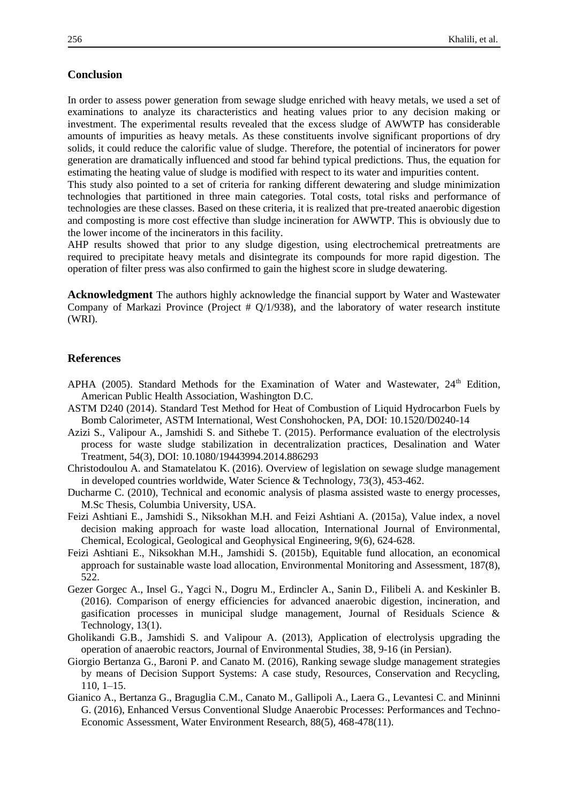#### **Conclusion**

In order to assess power generation from sewage sludge enriched with heavy metals, we used a set of examinations to analyze its characteristics and heating values prior to any decision making or investment. The experimental results revealed that the excess sludge of AWWTP has considerable amounts of impurities as heavy metals. As these constituents involve significant proportions of dry solids, it could reduce the calorific value of sludge. Therefore, the potential of incinerators for power generation are dramatically influenced and stood far behind typical predictions. Thus, the equation for estimating the heating value of sludge is modified with respect to its water and impurities content.

This study also pointed to a set of criteria for ranking different dewatering and sludge minimization technologies that partitioned in three main categories. Total costs, total risks and performance of technologies are these classes. Based on these criteria, it is realized that pre-treated anaerobic digestion and composting is more cost effective than sludge incineration for AWWTP. This is obviously due to the lower income of the incinerators in this facility.

AHP results showed that prior to any sludge digestion, using electrochemical pretreatments are required to precipitate heavy metals and disintegrate its compounds for more rapid digestion. The operation of filter press was also confirmed to gain the highest score in sludge dewatering.

**Acknowledgment** The authors highly acknowledge the financial support by Water and Wastewater Company of Markazi Province (Project # Q/1/938), and the laboratory of water research institute (WRI).

#### **References**

- APHA (2005). Standard Methods for the Examination of Water and Wastewater, 24<sup>th</sup> Edition, American Public Health Association, Washington D.C.
- ASTM D240 (2014). Standard Test Method for Heat of Combustion of Liquid Hydrocarbon Fuels by Bomb Calorimeter, ASTM International, West Conshohocken, PA, DOI: 10.1520/D0240-14
- Azizi S., Valipour A., Jamshidi S. and Sithebe T. (2015). Performance evaluation of the electrolysis process for waste sludge stabilization in decentralization practices, Desalination and Water Treatment, 54(3), DOI: 10.1080/19443994.2014.886293
- Christodoulou A. and Stamatelatou K. (2016). Overview of legislation on sewage sludge management in developed countries worldwide, Water Science & Technology, 73(3), 453-462.
- Ducharme C. (2010), Technical and economic analysis of plasma assisted waste to energy processes, M.Sc Thesis, Columbia University, USA.
- Feizi Ashtiani E., Jamshidi S., Niksokhan M.H. and Feizi Ashtiani A. (2015a), Value index, a novel decision making approach for waste load allocation, International Journal of Environmental, Chemical, Ecological, Geological and Geophysical Engineering, 9(6), 624-628.
- Feizi Ashtiani E., Niksokhan M.H., Jamshidi S. (2015b), Equitable fund allocation, an economical approach for sustainable waste load allocation, Environmental Monitoring and Assessment, 187(8), 522.
- Gezer Gorgec A., Insel G., Yagci N., Dogru M., Erdincler A., Sanin D., Filibeli A. and Keskinler B. (2016). Comparison of energy efficiencies for advanced anaerobic digestion, incineration, and gasification processes in municipal sludge management, Journal of Residuals Science & Technology, 13(1).
- Gholikandi G.B., Jamshidi S. and Valipour A. (2013), Application of electrolysis upgrading the operation of anaerobic reactors, Journal of Environmental Studies, 38, 9-16 (in Persian).
- Giorgio Bertanza G., Baroni P. and Canato M. (2016), Ranking sewage sludge management strategies by means of Decision Support Systems: A case study, Resources, Conservation and Recycling, [110,](http://www.sciencedirect.com/science/journal/09213449/110/supp/C) 1–15.
- Gianico A., Bertanza G., Braguglia C.M., Canato M., Gallipoli A., Laera G., Levantesi C. and Mininni G. (2016), Enhanced Versus Conventional Sludge Anaerobic Processes: Performances and Techno-Economic Assessment, Water Environment Research, 88(5), 468-478(11).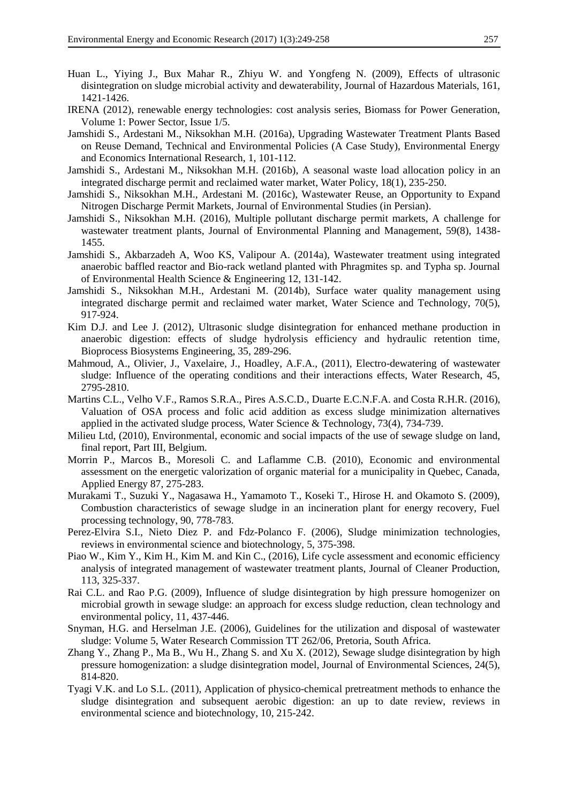- Huan L., Yiying J., Bux Mahar R., Zhiyu W. and Yongfeng N. (2009), Effects of ultrasonic disintegration on sludge microbial activity and dewaterability, Journal of Hazardous Materials, 161, 1421-1426.
- IRENA (2012), renewable energy technologies: cost analysis series, Biomass for Power Generation, Volume 1: Power Sector, Issue 1/5.
- Jamshidi S., Ardestani M., Niksokhan M.H. (2016a), Upgrading Wastewater Treatment Plants Based on Reuse Demand, Technical and Environmental Policies (A Case Study), Environmental Energy and Economics International Research, 1, 101-112.
- Jamshidi S., Ardestani M., Niksokhan M.H. (2016b), A seasonal waste load allocation policy in an integrated discharge permit and reclaimed water market, Water Policy, 18(1), 235-250.
- Jamshidi S., Niksokhan M.H., Ardestani M. (2016c), Wastewater Reuse, an Opportunity to Expand Nitrogen Discharge Permit Markets, Journal of Environmental Studies (in Persian).
- Jamshidi S., Niksokhan M.H. (2016), Multiple pollutant discharge permit markets, A challenge for wastewater treatment plants, Journal of Environmental Planning and Management, 59(8), 1438- 1455.
- Jamshidi S., Akbarzadeh A, Woo KS, Valipour A. (2014a), Wastewater treatment using integrated anaerobic baffled reactor and Bio-rack wetland planted with Phragmites sp. and Typha sp. Journal of Environmental Health Science & Engineering 12, 131-142.
- Jamshidi S., Niksokhan M.H., Ardestani M. (2014b), Surface water quality management using integrated discharge permit and reclaimed water market, Water Science and Technology, 70(5), 917-924.
- Kim D.J. and Lee J. (2012), Ultrasonic sludge disintegration for enhanced methane production in anaerobic digestion: effects of sludge hydrolysis efficiency and hydraulic retention time, Bioprocess Biosystems Engineering, 35, 289-296.
- Mahmoud, A., Olivier, J., Vaxelaire, J., Hoadley, A.F.A., (2011), Electro-dewatering of wastewater sludge: Influence of the operating conditions and their interactions effects, Water Research, 45, 2795-2810.
- Martins C.L., Velho V.F., Ramos S.R.A., Pires A.S.C.D., Duarte E.C.N.F.A. and Costa R.H.R. (2016), Valuation of OSA process and folic acid addition as excess sludge minimization alternatives applied in the activated sludge process, Water Science & Technology, 73(4), 734-739.
- Milieu Ltd, (2010), Environmental, economic and social impacts of the use of sewage sludge on land, final report, Part III, Belgium.
- Morrin P., Marcos B., Moresoli C. and Laflamme C.B. (2010), Economic and environmental assessment on the energetic valorization of organic material for a municipality in Quebec, Canada, Applied Energy 87, 275-283.
- Murakami T., Suzuki Y., Nagasawa H., Yamamoto T., Koseki T., Hirose H. and Okamoto S. (2009), Combustion characteristics of sewage sludge in an incineration plant for energy recovery, Fuel processing technology, 90, 778-783.
- Perez-Elvira S.I., Nieto Diez P. and Fdz-Polanco F. (2006), Sludge minimization technologies, reviews in environmental science and biotechnology, 5, 375-398.
- Piao W., Kim Y., Kim H., Kim M. and Kin C., (2016), Life cycle assessment and economic efficiency analysis of integrated management of wastewater treatment plants, Journal of Cleaner Production, 113, 325-337.
- Rai C.L. and Rao P.G. (2009), Influence of sludge disintegration by high pressure homogenizer on microbial growth in sewage sludge: an approach for excess sludge reduction, clean technology and environmental policy, 11, 437-446.
- Snyman, H.G. and Herselman J.E. (2006), Guidelines for the utilization and disposal of wastewater sludge: Volume 5, Water Research Commission TT 262/06, Pretoria, South Africa.
- Zhang Y., Zhang P., Ma B., Wu H., Zhang S. and Xu X. (2012), Sewage sludge disintegration by high pressure homogenization: a sludge disintegration model, Journal of Environmental Sciences, 24(5), 814-820.
- Tyagi V.K. and Lo S.L. (2011), Application of physico-chemical pretreatment methods to enhance the sludge disintegration and subsequent aerobic digestion: an up to date review, reviews in environmental science and biotechnology, 10, 215-242.